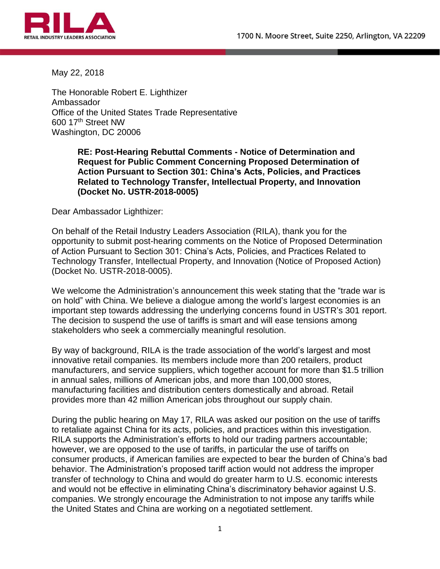

May 22, 2018

The Honorable Robert E. Lighthizer Ambassador Office of the United States Trade Representative 600 17th Street NW Washington, DC 20006

> **RE: Post-Hearing Rebuttal Comments - Notice of Determination and Request for Public Comment Concerning Proposed Determination of Action Pursuant to Section 301: China's Acts, Policies, and Practices Related to Technology Transfer, Intellectual Property, and Innovation (Docket No. USTR-2018-0005)**

Dear Ambassador Lighthizer:

On behalf of the Retail Industry Leaders Association (RILA), thank you for the opportunity to submit post-hearing comments on the Notice of Proposed Determination of Action Pursuant to Section 301: China's Acts, Policies, and Practices Related to Technology Transfer, Intellectual Property, and Innovation (Notice of Proposed Action) (Docket No. USTR-2018-0005).

We welcome the Administration's announcement this week stating that the "trade war is on hold" with China. We believe a dialogue among the world's largest economies is an important step towards addressing the underlying concerns found in USTR's 301 report. The decision to suspend the use of tariffs is smart and will ease tensions among stakeholders who seek a commercially meaningful resolution.

By way of background, RILA is the trade association of the world's largest and most innovative retail companies. Its members include more than 200 retailers, product manufacturers, and service suppliers, which together account for more than \$1.5 trillion in annual sales, millions of American jobs, and more than 100,000 stores, manufacturing facilities and distribution centers domestically and abroad. Retail provides more than 42 million American jobs throughout our supply chain.

During the public hearing on May 17, RILA was asked our position on the use of tariffs to retaliate against China for its acts, policies, and practices within this investigation. RILA supports the Administration's efforts to hold our trading partners accountable; however, we are opposed to the use of tariffs, in particular the use of tariffs on consumer products, if American families are expected to bear the burden of China's bad behavior. The Administration's proposed tariff action would not address the improper transfer of technology to China and would do greater harm to U.S. economic interests and would not be effective in eliminating China's discriminatory behavior against U.S. companies. We strongly encourage the Administration to not impose any tariffs while the United States and China are working on a negotiated settlement.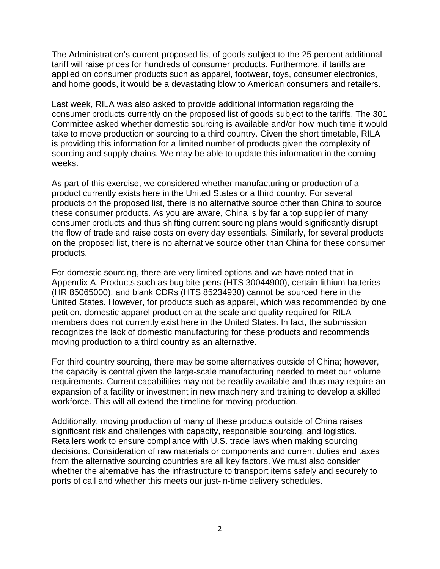The Administration's current proposed list of goods subject to the 25 percent additional tariff will raise prices for hundreds of consumer products. Furthermore, if tariffs are applied on consumer products such as apparel, footwear, toys, consumer electronics, and home goods, it would be a devastating blow to American consumers and retailers.

Last week, RILA was also asked to provide additional information regarding the consumer products currently on the proposed list of goods subject to the tariffs. The 301 Committee asked whether domestic sourcing is available and/or how much time it would take to move production or sourcing to a third country. Given the short timetable, RILA is providing this information for a limited number of products given the complexity of sourcing and supply chains. We may be able to update this information in the coming weeks.

As part of this exercise, we considered whether manufacturing or production of a product currently exists here in the United States or a third country. For several products on the proposed list, there is no alternative source other than China to source these consumer products. As you are aware, China is by far a top supplier of many consumer products and thus shifting current sourcing plans would significantly disrupt the flow of trade and raise costs on every day essentials. Similarly, for several products on the proposed list, there is no alternative source other than China for these consumer products.

For domestic sourcing, there are very limited options and we have noted that in Appendix A. Products such as bug bite pens (HTS 30044900), certain lithium batteries (HR 85065000), and blank CDRs (HTS 85234930) cannot be sourced here in the United States. However, for products such as apparel, which was recommended by one petition, domestic apparel production at the scale and quality required for RILA members does not currently exist here in the United States. In fact, the submission recognizes the lack of domestic manufacturing for these products and recommends moving production to a third country as an alternative.

For third country sourcing, there may be some alternatives outside of China; however, the capacity is central given the large-scale manufacturing needed to meet our volume requirements. Current capabilities may not be readily available and thus may require an expansion of a facility or investment in new machinery and training to develop a skilled workforce. This will all extend the timeline for moving production.

Additionally, moving production of many of these products outside of China raises significant risk and challenges with capacity, responsible sourcing, and logistics. Retailers work to ensure compliance with U.S. trade laws when making sourcing decisions. Consideration of raw materials or components and current duties and taxes from the alternative sourcing countries are all key factors. We must also consider whether the alternative has the infrastructure to transport items safely and securely to ports of call and whether this meets our just-in-time delivery schedules.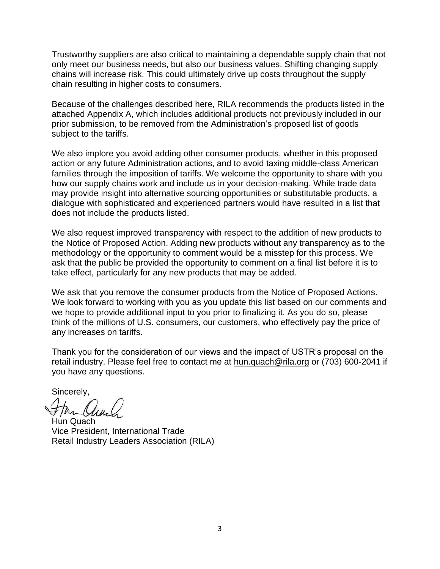Trustworthy suppliers are also critical to maintaining a dependable supply chain that not only meet our business needs, but also our business values. Shifting changing supply chains will increase risk. This could ultimately drive up costs throughout the supply chain resulting in higher costs to consumers.

Because of the challenges described here, RILA recommends the products listed in the attached Appendix A, which includes additional products not previously included in our prior submission, to be removed from the Administration's proposed list of goods subject to the tariffs.

We also implore you avoid adding other consumer products, whether in this proposed action or any future Administration actions, and to avoid taxing middle-class American families through the imposition of tariffs. We welcome the opportunity to share with you how our supply chains work and include us in your decision-making. While trade data may provide insight into alternative sourcing opportunities or substitutable products, a dialogue with sophisticated and experienced partners would have resulted in a list that does not include the products listed.

We also request improved transparency with respect to the addition of new products to the Notice of Proposed Action. Adding new products without any transparency as to the methodology or the opportunity to comment would be a misstep for this process. We ask that the public be provided the opportunity to comment on a final list before it is to take effect, particularly for any new products that may be added.

We ask that you remove the consumer products from the Notice of Proposed Actions. We look forward to working with you as you update this list based on our comments and we hope to provide additional input to you prior to finalizing it. As you do so, please think of the millions of U.S. consumers, our customers, who effectively pay the price of any increases on tariffs.

Thank you for the consideration of our views and the impact of USTR's proposal on the retail industry. Please feel free to contact me at [hun.quach@rila.org](mailto:hun.quach@rila.org) or (703) 600-2041 if you have any questions.

Sincerely,

Hun Quach Vice President, International Trade Retail Industry Leaders Association (RILA)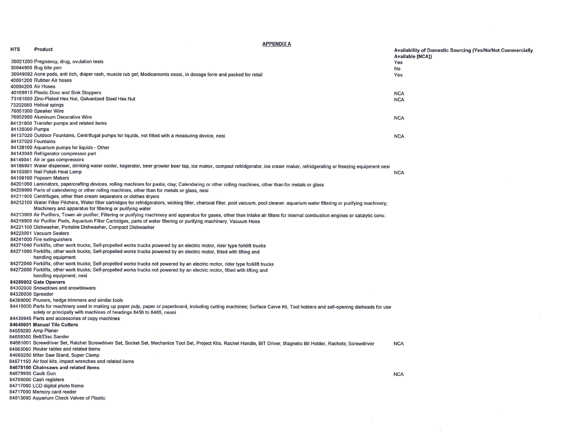**APPENDIX A** 

 $\sim 100$ 

 $\sim$ 

 $\sim$   $-$ 

| <b>HTS</b>     | Product                                                                                                                                                                                  | <b>Availability of Domestic Sourcing (Yes/No/Not Commercially</b> |
|----------------|------------------------------------------------------------------------------------------------------------------------------------------------------------------------------------------|-------------------------------------------------------------------|
|                |                                                                                                                                                                                          |                                                                   |
|                | 30021200 Pregnancy, drug, ovulation tests                                                                                                                                                | Available [NCA])                                                  |
|                | 30044900 Bug bite pen                                                                                                                                                                    | Yes                                                               |
|                |                                                                                                                                                                                          | No                                                                |
|                | 30049092 Acne pads, anti itch, diaper rash, muscle rub gel; Medicaments nesoi, in dosage form and packed for retail                                                                      | Yes                                                               |
|                | 40091200 Rubber Air hoses                                                                                                                                                                |                                                                   |
|                | 40094200 Air Hoses                                                                                                                                                                       |                                                                   |
|                | 40169915 Plastic Door and Sink Stoppers                                                                                                                                                  | <b>NCA</b>                                                        |
|                | 73181600 Zinc-Plated Hex Nut, Galvanized Steel Hex Nut                                                                                                                                   | <b>NCA</b>                                                        |
|                | 73202050 Helical spings                                                                                                                                                                  |                                                                   |
|                | 76051900 Speaker Wire                                                                                                                                                                    |                                                                   |
|                | 76052900 Aluminum Decorative Wire                                                                                                                                                        | <b>NCA</b>                                                        |
|                | 84131900 Transfer pumps and related items                                                                                                                                                |                                                                   |
|                |                                                                                                                                                                                          |                                                                   |
| 84135000 Pumps |                                                                                                                                                                                          |                                                                   |
|                | 84137020 Outdoor Fountains, Centrifugal pumps for liquids, not fitted with a measuring device, nesi                                                                                      | <b>NCA</b>                                                        |
|                | 84137020 Fountains                                                                                                                                                                       |                                                                   |
|                | 84138100 Aquarium pumps for liquids - Other                                                                                                                                              |                                                                   |
|                | 84143040 Refrigerator compressor part                                                                                                                                                    |                                                                   |
|                | 84149041 Air or gas compressors                                                                                                                                                          |                                                                   |
|                | 84186901 Water dispenser, drinking water cooler, kegerator, beer growler beer tap, ice maker, compact refridgerator, ice cream maker, refridgerating or freezing equipment nesi          |                                                                   |
|                | 84193901 Nail Polish Heat Lamp                                                                                                                                                           | <b>NCA</b>                                                        |
|                | 84198190 Popcorn Makers                                                                                                                                                                  |                                                                   |
|                | 84201090 Laminators, papercrafting devices, rolling machines for pasta, clay; Calendaring or other rolling machines, other than for metals or glass                                      |                                                                   |
|                | 84209990 Parts of calendering or other rolling machines, other than for metals or glass, nesi                                                                                            |                                                                   |
|                | 84211900 Centrifuges, other than cream separators or clothes dryers                                                                                                                      |                                                                   |
|                |                                                                                                                                                                                          |                                                                   |
|                | 84212100 Water Filter Pitchers, Water filter cartridges for refridgerators, wicking filter, charcoal filter, pool vacuum, pool cleaner, aquarium water filtering or purifying machinery; |                                                                   |
|                | Machinery and apparatus for filtering or purifying water                                                                                                                                 |                                                                   |
|                | 84213980 Air Purifiers, Tower air purifier; Filtering or purifying machinery and apparatus for gases, other than intake air filters for internal combustion engines or catalytic conv.   |                                                                   |
|                | 84219900 Air Purifier Parts, Aquarium Filter Cartridges, parts of water filtering or purifying machinery, Vacuum Hose                                                                    |                                                                   |
|                | 84221100 Dishwasher, Portable Dishwasher, Compact Dishwasher                                                                                                                             |                                                                   |
|                | 84223091 Vacuum Sealers                                                                                                                                                                  |                                                                   |
|                | 84241000 Fire extinguishers                                                                                                                                                              |                                                                   |
|                | 84271040 Forklifts, other work trucks; Self-propelled works trucks powered by an electric motor, rider type forklift trucks                                                              |                                                                   |
|                | 84271080 Forklifts, other work trucks; Self-propelled works trucks powered by an electric motor, fitted with lifting and                                                                 |                                                                   |
|                | handling equipment                                                                                                                                                                       |                                                                   |
|                |                                                                                                                                                                                          |                                                                   |
|                | 84272040 Forklifts, other work trucks; Self-propelled works trucks not powered by an electric motor, rider type forklift trucks                                                          |                                                                   |
|                | 84272080 Forklifts, other work trucks; Self-propelled works trucks not powered by an electric motor, fitted with lifting and                                                             |                                                                   |
|                | handling equipment, nesi                                                                                                                                                                 |                                                                   |
|                | 84289002 Gate Openers                                                                                                                                                                    |                                                                   |
|                | 84302000 Snowplows and snowblowers                                                                                                                                                       |                                                                   |
|                | 84328000 Spreader                                                                                                                                                                        |                                                                   |
|                | 84368000 Pruners, hedge trimmers and similar tools                                                                                                                                       |                                                                   |
|                | 84419000 Parts for machinery used in making up paper pulp, paper or paperboard, including cutting machines; Surface Carve Kit, Tool holders and self-opening dieheads for use            |                                                                   |
|                | solely or principally with machines of headings 8456 to 8465, nesoi                                                                                                                      |                                                                   |
|                | 84439945 Parts and accessories of copy machines                                                                                                                                          |                                                                   |
|                | 84649001 Manual Tile Cutters                                                                                                                                                             |                                                                   |
|                |                                                                                                                                                                                          |                                                                   |
|                | 84659200 Amp Planer                                                                                                                                                                      |                                                                   |
|                | 84659300 Belt/Disc Sander                                                                                                                                                                |                                                                   |
|                | 84661001 Screwdriver Set, Ratchet Screwdriver Set, Socket Set, Mechanics Tool Set, Project Kits, Rachet Handle, BIT Driver, Magnetic Bit Holder, Rachets; Screwdriver                    | <b>NCA</b>                                                        |
|                | 84663060 Router tables and related items                                                                                                                                                 |                                                                   |
|                | 84669250 Miter Saw Stand, Super Clamp                                                                                                                                                    |                                                                   |
|                | 84671150 Air tool kits, impact wrenches and related items                                                                                                                                |                                                                   |
|                | 84678100 Chainsaws and related items                                                                                                                                                     |                                                                   |
|                | 84678950 Caulk Gun                                                                                                                                                                       | <b>NCA</b>                                                        |
|                | 84705000 Cash registers                                                                                                                                                                  |                                                                   |
|                |                                                                                                                                                                                          |                                                                   |
|                | 84717060 LCD digital photo frame                                                                                                                                                         |                                                                   |
|                | 84717090 Memory card reader                                                                                                                                                              |                                                                   |
|                | 84813090 Aquarium Check Valves of Plastic                                                                                                                                                |                                                                   |